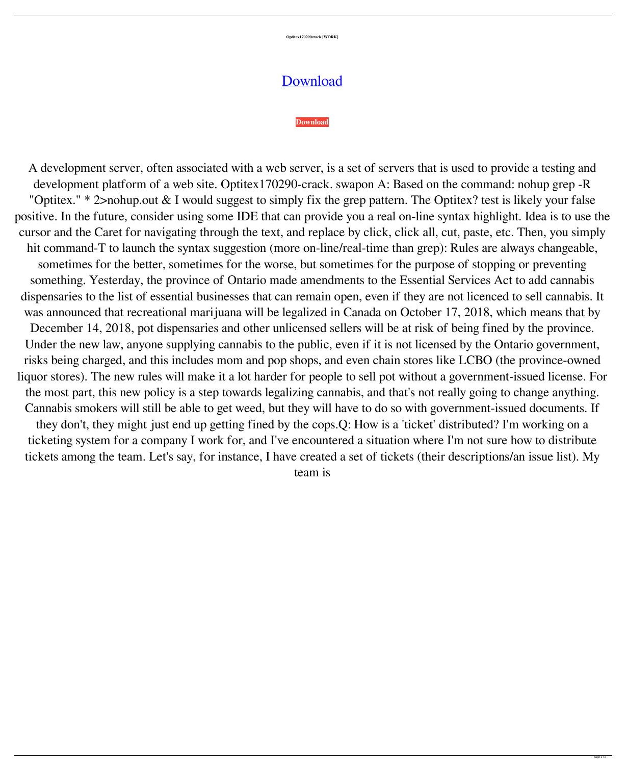**Optitex170290crack [WORK]**

## [Download](https://tlniurl.com/2kyvr3)

## **[Download](https://tlniurl.com/2kyvr3)**

A development server, often associated with a web server, is a set of servers that is used to provide a testing and development platform of a web site. Optitex170290-crack. swapon A: Based on the command: nohup grep -R "Optitex."  $*$  2>nohup.out & I would suggest to simply fix the grep pattern. The Optitex? test is likely your false positive. In the future, consider using some IDE that can provide you a real on-line syntax highlight. Idea is to use the cursor and the Caret for navigating through the text, and replace by click, click all, cut, paste, etc. Then, you simply hit command-T to launch the syntax suggestion (more on-line/real-time than grep): Rules are always changeable, sometimes for the better, sometimes for the worse, but sometimes for the purpose of stopping or preventing something. Yesterday, the province of Ontario made amendments to the Essential Services Act to add cannabis dispensaries to the list of essential businesses that can remain open, even if they are not licenced to sell cannabis. It was announced that recreational marijuana will be legalized in Canada on October 17, 2018, which means that by December 14, 2018, pot dispensaries and other unlicensed sellers will be at risk of being fined by the province. Under the new law, anyone supplying cannabis to the public, even if it is not licensed by the Ontario government, risks being charged, and this includes mom and pop shops, and even chain stores like LCBO (the province-owned liquor stores). The new rules will make it a lot harder for people to sell pot without a government-issued license. For the most part, this new policy is a step towards legalizing cannabis, and that's not really going to change anything. Cannabis smokers will still be able to get weed, but they will have to do so with government-issued documents. If they don't, they might just end up getting fined by the cops.Q: How is a 'ticket' distributed? I'm working on a ticketing system for a company I work for, and I've encountered a situation where I'm not sure how to distribute tickets among the team. Let's say, for instance, I have created a set of tickets (their descriptions/an issue list). My team is